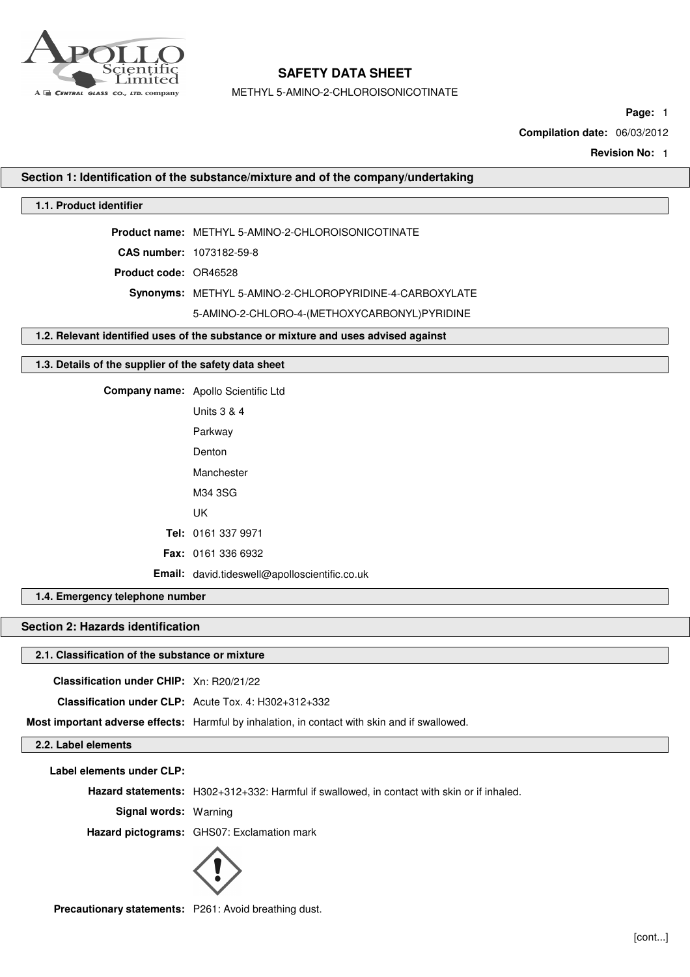

METHYL 5-AMINO-2-CHLOROISONICOTINATE

**Page:** 1

**Compilation date:** 06/03/2012

**Revision No:** 1

## **Section 1: Identification of the substance/mixture and of the company/undertaking**

## **1.1. Product identifier**

**Product name:** METHYL 5-AMINO-2-CHLOROISONICOTINATE

**CAS number:** 1073182-59-8

**Product code:** OR46528

**Synonyms:** METHYL 5-AMINO-2-CHLOROPYRIDINE-4-CARBOXYLATE

5-AMINO-2-CHLORO-4-(METHOXYCARBONYL)PYRIDINE

## **1.2. Relevant identified uses of the substance or mixture and uses advised against**

### **1.3. Details of the supplier of the safety data sheet**

**Company name:** Apollo Scientific Ltd

| Units 3 & 4                                   |
|-----------------------------------------------|
| Parkway                                       |
| Denton                                        |
| Manchester                                    |
| M34 3SG                                       |
| UΚ                                            |
| <b>Tel:</b> 0161 337 9971                     |
| <b>Fax: 0161 336 6932</b>                     |
| Email: david.tideswell@apolloscientific.co.uk |

**1.4. Emergency telephone number**

## **Section 2: Hazards identification**

### **2.1. Classification of the substance or mixture**

**Classification under CHIP:** Xn: R20/21/22

**Classification under CLP:** Acute Tox. 4: H302+312+332

**Most important adverse effects:** Harmful by inhalation, in contact with skin and if swallowed.

**2.2. Label elements**

**Label elements under CLP:**

**Hazard statements:** H302+312+332: Harmful if swallowed, in contact with skin or if inhaled.

**Signal words:** Warning

**Hazard pictograms:** GHS07: Exclamation mark



**Precautionary statements:** P261: Avoid breathing dust.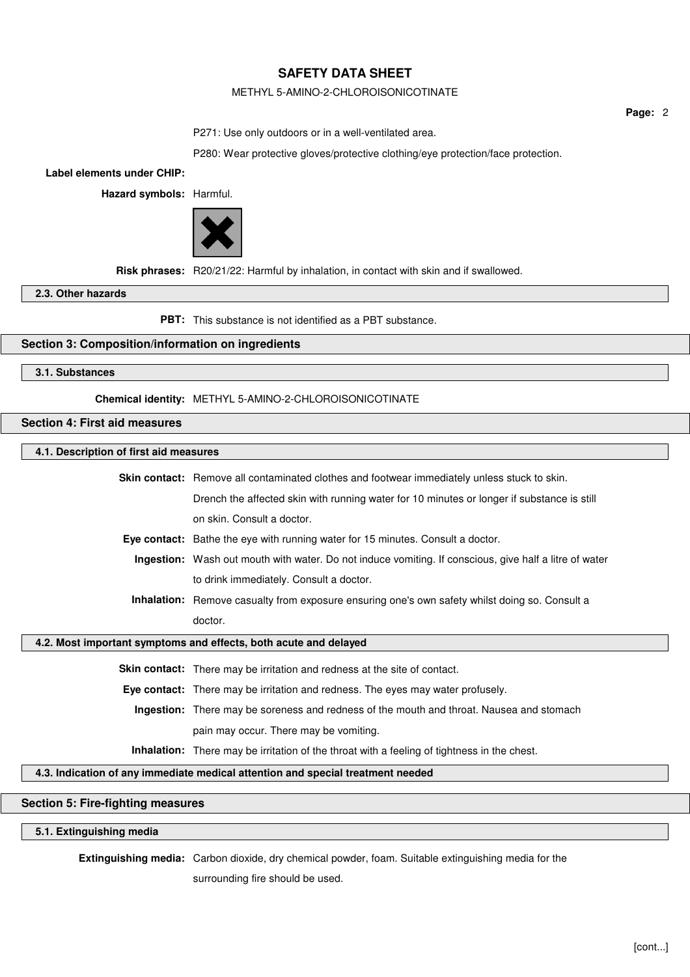## METHYL 5-AMINO-2-CHLOROISONICOTINATE

**Page:** 2

P271: Use only outdoors or in a well-ventilated area.

P280: Wear protective gloves/protective clothing/eye protection/face protection.

**Label elements under CHIP:**

**Hazard symbols:** Harmful.



**Risk phrases:** R20/21/22: Harmful by inhalation, in contact with skin and if swallowed.

**2.3. Other hazards**

**PBT:** This substance is not identified as a PBT substance.

## **Section 3: Composition/information on ingredients**

**3.1. Substances**

**Chemical identity:** METHYL 5-AMINO-2-CHLOROISONICOTINATE

**Section 4: First aid measures**

#### **4.1. Description of first aid measures**

| <b>Skin contact:</b> Remove all contaminated clothes and footwear immediately unless stuck to skin.    |  |  |
|--------------------------------------------------------------------------------------------------------|--|--|
| Drench the affected skin with running water for 10 minutes or longer if substance is still             |  |  |
| on skin. Consult a doctor.                                                                             |  |  |
| <b>Eye contact:</b> Bathe the eye with running water for 15 minutes. Consult a doctor.                 |  |  |
| Ingestion: Wash out mouth with water. Do not induce vomiting. If conscious, give half a litre of water |  |  |

to drink immediately. Consult a doctor.

**Inhalation:** Remove casualty from exposure ensuring one's own safety whilst doing so. Consult a doctor.

**4.2. Most important symptoms and effects, both acute and delayed**

**Skin contact:** There may be irritation and redness at the site of contact.

**Eye contact:** There may be irritation and redness. The eyes may water profusely.

**Ingestion:** There may be soreness and redness of the mouth and throat. Nausea and stomach

pain may occur. There may be vomiting.

**Inhalation:** There may be irritation of the throat with a feeling of tightness in the chest.

## **4.3. Indication of any immediate medical attention and special treatment needed**

## **Section 5: Fire-fighting measures**

## **5.1. Extinguishing media**

**Extinguishing media:** Carbon dioxide, dry chemical powder, foam. Suitable extinguishing media for the surrounding fire should be used.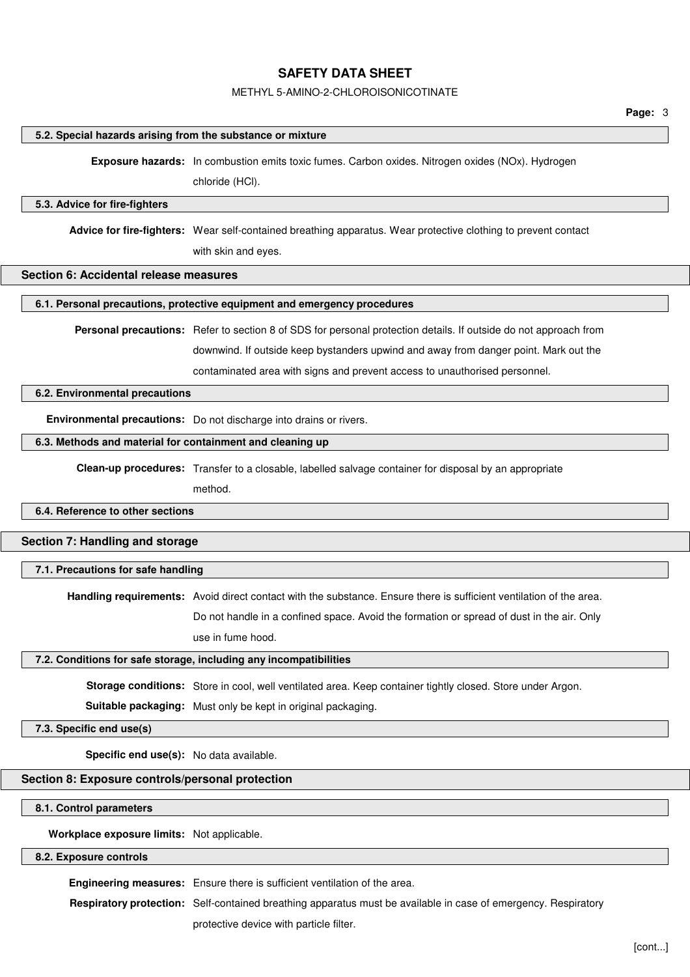### METHYL 5-AMINO-2-CHLOROISONICOTINATE

#### **5.2. Special hazards arising from the substance or mixture**

**Exposure hazards:** In combustion emits toxic fumes. Carbon oxides. Nitrogen oxides (NOx). Hydrogen

chloride (HCl).

#### **5.3. Advice for fire-fighters**

**Advice for fire-fighters:** Wear self-contained breathing apparatus. Wear protective clothing to prevent contact with skin and eyes.

### **Section 6: Accidental release measures**

## **6.1. Personal precautions, protective equipment and emergency procedures**

**Personal precautions:** Refer to section 8 of SDS for personal protection details. If outside do not approach from downwind. If outside keep bystanders upwind and away from danger point. Mark out the contaminated area with signs and prevent access to unauthorised personnel.

#### **6.2. Environmental precautions**

**Environmental precautions:** Do not discharge into drains or rivers.

### **6.3. Methods and material for containment and cleaning up**

**Clean-up procedures:** Transfer to a closable, labelled salvage container for disposal by an appropriate

method.

### **6.4. Reference to other sections**

## **Section 7: Handling and storage**

#### **7.1. Precautions for safe handling**

**Handling requirements:** Avoid direct contact with the substance. Ensure there is sufficient ventilation of the area.

Do not handle in a confined space. Avoid the formation or spread of dust in the air. Only

use in fume hood.

#### **7.2. Conditions for safe storage, including any incompatibilities**

**Storage conditions:** Store in cool, well ventilated area. Keep container tightly closed. Store under Argon.

**Suitable packaging:** Must only be kept in original packaging.

#### **7.3. Specific end use(s)**

**Specific end use(s):** No data available.

## **Section 8: Exposure controls/personal protection**

## **8.1. Control parameters**

**Workplace exposure limits:** Not applicable.

## **8.2. Exposure controls**

**Engineering measures:** Ensure there is sufficient ventilation of the area.

**Respiratory protection:** Self-contained breathing apparatus must be available in case of emergency. Respiratory

protective device with particle filter.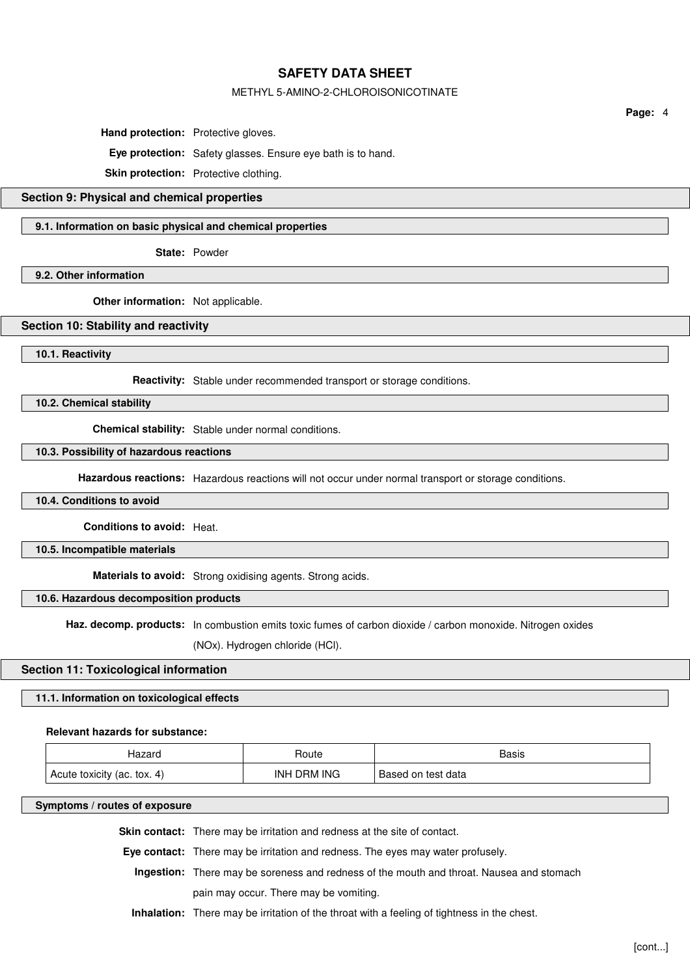### METHYL 5-AMINO-2-CHLOROISONICOTINATE

**Hand protection:** Protective gloves.

**Eye protection:** Safety glasses. Ensure eye bath is to hand.

**Skin protection:** Protective clothing.

# **Section 9: Physical and chemical properties**

### **9.1. Information on basic physical and chemical properties**

**State:** Powder

**9.2. Other information**

**Other information:** Not applicable.

### **Section 10: Stability and reactivity**

**10.1. Reactivity**

**Reactivity:** Stable under recommended transport or storage conditions.

**10.2. Chemical stability**

**Chemical stability:** Stable under normal conditions.

## **10.3. Possibility of hazardous reactions**

**Hazardous reactions:** Hazardous reactions will not occur under normal transport or storage conditions.

## **10.4. Conditions to avoid**

**Conditions to avoid:** Heat.

**10.5. Incompatible materials**

**Materials to avoid:** Strong oxidising agents. Strong acids.

## **10.6. Hazardous decomposition products**

Haz. decomp. products: In combustion emits toxic fumes of carbon dioxide / carbon monoxide. Nitrogen oxides

(NOx). Hydrogen chloride (HCl).

## **Section 11: Toxicological information**

## **11.1. Information on toxicological effects**

## **Relevant hazards for substance:**

| Hazaro                      | Route       | Basis              |
|-----------------------------|-------------|--------------------|
| Acute toxicity (ac. tox. 4) | INH DRM ING | Based on test data |

## **Symptoms / routes of exposure**

**Skin contact:** There may be irritation and redness at the site of contact.

**Eye contact:** There may be irritation and redness. The eyes may water profusely.

**Ingestion:** There may be soreness and redness of the mouth and throat. Nausea and stomach

pain may occur. There may be vomiting.

**Inhalation:** There may be irritation of the throat with a feeling of tightness in the chest.

**Page:** 4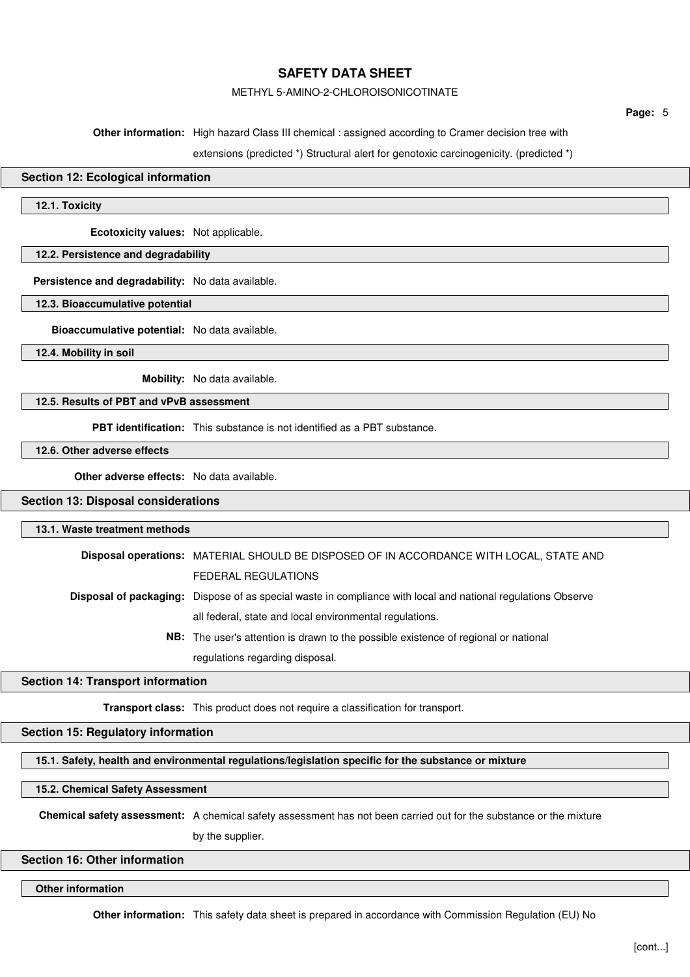### METHYL 5-AMINO-2-CHLOROISONICOTINATE

**Page:** 5

**Other information:** High hazard Class III chemical : assigned according to Cramer decision tree with

extensions (predicted \*) Structural alert for genotoxic carcinogenicity. (predicted \*)

## **Section 12: Ecological information**

**12.1. Toxicity**

**Ecotoxicity values:** Not applicable.

### **12.2. Persistence and degradability**

**Persistence and degradability:** No data available.

## **12.3. Bioaccumulative potential**

**Bioaccumulative potential:** No data available.

**12.4. Mobility in soil**

**Mobility:** No data available.

## **12.5. Results of PBT and vPvB assessment**

**PBT identification:** This substance is not identified as a PBT substance.

## **12.6. Other adverse effects**

**Other adverse effects:** No data available.

## **Section 13: Disposal considerations**

#### **13.1. Waste treatment methods**

**Disposal operations:** MATERIAL SHOULD BE DISPOSED OF IN ACCORDANCE WITH LOCAL, STATE AND FEDERAL REGULATIONS **Disposal of packaging:** Dispose of as special waste in compliance with local and national regulations Observe all federal, state and local environmental regulations. **NB:** The user's attention is drawn to the possible existence of regional or national

regulations regarding disposal.

### **Section 14: Transport information**

**Transport class:** This product does not require a classification for transport.

## **Section 15: Regulatory information**

**15.1. Safety, health and environmental regulations/legislation specific for the substance or mixture**

## **15.2. Chemical Safety Assessment**

**Chemical safety assessment:** A chemical safety assessment has not been carried out for the substance or the mixture

by the supplier.

## **Section 16: Other information**

**Other information**

**Other information:** This safety data sheet is prepared in accordance with Commission Regulation (EU) No